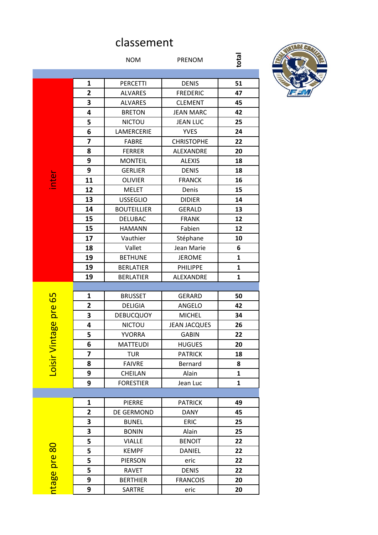## classement

|                    |                         | <b>NOM</b>         | <b>PRENOM</b>       | total        |
|--------------------|-------------------------|--------------------|---------------------|--------------|
|                    |                         |                    |                     |              |
|                    | 1                       | <b>PERCETTI</b>    | <b>DENIS</b>        | 51           |
|                    | $\overline{\mathbf{2}}$ | <b>ALVARES</b>     | <b>FREDERIC</b>     | 47           |
|                    | 3                       | <b>ALVARES</b>     | <b>CLEMENT</b>      | 45           |
|                    | 4                       | <b>BRETON</b>      | <b>JEAN MARC</b>    | 42           |
|                    | 5                       | <b>NICTOU</b>      | <b>JEAN LUC</b>     | 25           |
|                    | 6                       | LAMERCERIE         | <b>YVES</b>         | 24           |
|                    | 7                       | <b>FABRE</b>       | <b>CHRISTOPHE</b>   | 22           |
|                    | 8                       | <b>FERRER</b>      | ALEXANDRE           | 20           |
|                    | 9                       | <b>MONTEIL</b>     | <b>ALEXIS</b>       | 18           |
|                    | 9                       | <b>GERLIER</b>     | <b>DENIS</b>        | 18           |
| inter              | 11                      | <b>OLIVIER</b>     | <b>FRANCK</b>       | 16           |
|                    | 12                      | <b>MELET</b>       | Denis               | 15           |
|                    | 13                      | <b>USSEGLIO</b>    | <b>DIDIER</b>       | 14           |
|                    | 14                      | <b>BOUTEILLIER</b> | <b>GERALD</b>       | 13           |
|                    | 15                      | DELUBAC            | <b>FRANK</b>        | 12           |
|                    | 15                      | <b>HAMANN</b>      | Fabien              | 12           |
|                    | 17                      | Vauthier           | Stéphane            | 10           |
|                    | 18                      | Vallet             | Jean Marie          | 6            |
|                    | 19                      | <b>BETHUNE</b>     | <b>JEROME</b>       | $\mathbf{1}$ |
|                    | 19                      | <b>BERLATIER</b>   | PHILIPPE            | $\mathbf{1}$ |
|                    | 19                      | <b>BERLATIER</b>   | ALEXANDRE           | $\mathbf{1}$ |
|                    |                         |                    |                     |              |
| $\overline{65}$    | 1                       | <b>BRUSSET</b>     | <b>GERARD</b>       | 50           |
| pre                | $\overline{2}$          | <b>DELIGIA</b>     | ANGELO              | 42           |
|                    | 3                       | <b>DEBUCQUOY</b>   | <b>MICHEL</b>       | 34           |
| <mark>မ</mark> ္မာ | 4                       | <b>NICTOU</b>      | <b>JEAN JACQUES</b> | 26           |
| ᠊ᢐ                 | 5                       | <b>YVORRA</b>      | <b>GABIN</b>        | 22           |
|                    | 6                       | <b>MATTEUDI</b>    | <b>HUGUES</b>       | 20           |
| Loisir Vint        | 7                       | <b>TUR</b>         | <b>PATRICK</b>      | 18           |
|                    | 8                       | <b>FAIVRE</b>      | Bernard             | 8            |
|                    | 9                       | CHEILAN            | Alain               | 1            |
|                    | 9                       | <b>FORESTIER</b>   | Jean Luc            | $\mathbf{1}$ |
|                    |                         |                    |                     |              |
|                    | 1                       | <b>PIERRE</b>      | <b>PATRICK</b>      | 49           |
|                    | $\overline{\mathbf{2}}$ | DE GERMOND         | <b>DANY</b>         | 45           |
|                    | 3                       | <b>BUNEL</b>       | <b>ERIC</b>         | 25           |
|                    | 3                       | <b>BONIN</b>       | Alain               | 25           |
|                    | 5                       | <b>VIALLE</b>      | <b>BENOIT</b>       | 22           |
|                    | 5                       | <b>KEMPF</b>       | <b>DANIEL</b>       | 22           |
|                    | 5                       | <b>PIERSON</b>     | eric                | 22           |
|                    | 5                       | <b>RAVET</b>       | <b>DENIS</b>        | 22           |
| ntage pre 80       | 9                       | <b>BERTHIER</b>    | <b>FRANCOIS</b>     | 20           |
|                    | 9                       | SARTRE             | eric                | 20           |
|                    |                         |                    |                     |              |

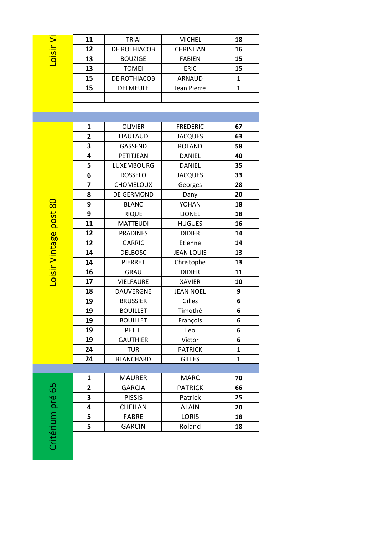| Loisir Vi         | 11<br>12<br>13<br>13    | <b>TRIAI</b><br>DE ROTHIACOB<br><b>BOUZIGE</b><br><b>TOMEI</b> | <b>MICHEL</b><br><b>CHRISTIAN</b><br><b>FABIEN</b><br><b>ERIC</b> | 18<br>16<br>15<br>15 |
|-------------------|-------------------------|----------------------------------------------------------------|-------------------------------------------------------------------|----------------------|
|                   | 15<br>15                | DE ROTHIACOB<br><b>DELMEULE</b>                                | <b>ARNAUD</b><br>Jean Pierre                                      | 1<br>1               |
|                   | 1                       | <b>OLIVIER</b>                                                 | <b>FREDERIC</b>                                                   | 67                   |
|                   | $\overline{\mathbf{2}}$ | <b>LIAUTAUD</b>                                                | <b>JACQUES</b>                                                    | 63                   |
|                   | 3                       | GASSEND                                                        | <b>ROLAND</b>                                                     | 58                   |
|                   | 4                       | PETITJEAN                                                      | <b>DANIEL</b>                                                     | 40                   |
|                   | 5                       | <b>LUXEMBOURG</b>                                              | <b>DANIEL</b>                                                     | 35                   |
|                   | 6                       | <b>ROSSELO</b>                                                 | <b>JACQUES</b>                                                    | 33                   |
|                   | 7                       | <b>CHOMELOUX</b>                                               | Georges                                                           | 28                   |
|                   | 8                       | DE GERMOND                                                     | Dany                                                              | 20                   |
|                   | 9                       | <b>BLANC</b>                                                   | YOHAN                                                             | 18                   |
|                   | 9                       | <b>RIQUE</b>                                                   | <b>LIONEL</b>                                                     | 18                   |
| r Vintage post 80 | 11                      | <b>MATTEUDI</b>                                                | <b>HUGUES</b>                                                     | 16                   |
|                   | 12                      | <b>PRADINES</b>                                                | <b>DIDIER</b>                                                     | 14                   |
|                   | 12                      | <b>GARRIC</b>                                                  | Etienne                                                           | 14                   |
|                   | 14                      | <b>DELBOSC</b>                                                 | <b>JEAN LOUIS</b>                                                 | 13                   |
|                   | 14                      | PIERRET                                                        | Christophe                                                        | 13                   |
| Loisi             | 16                      | GRAU                                                           | <b>DIDIER</b>                                                     | 11                   |
|                   | 17                      | <b>VIELFAURE</b>                                               | <b>XAVIER</b>                                                     | 10                   |
|                   | 18                      | DAUVERGNE                                                      | <b>JEAN NOEL</b>                                                  | 9                    |
|                   | 19                      | <b>BRUSSIER</b>                                                | Gilles                                                            | 6                    |
|                   | 19                      | <b>BOUILLET</b>                                                | Timothé                                                           | 6                    |
|                   | 19                      | <b>BOUILLET</b>                                                | François                                                          | 6                    |
|                   | 19<br>19                | <b>PETIT</b><br><b>GAUTHIER</b>                                | Leo<br>Victor                                                     | 6<br>6               |
|                   | 24                      | <b>TUR</b>                                                     | <b>PATRICK</b>                                                    | $\mathbf{1}$         |
|                   | 24                      | <b>BLANCHARD</b>                                               | <b>GILLES</b>                                                     | 1                    |
|                   |                         |                                                                |                                                                   |                      |
|                   | 1                       | <b>MAURER</b>                                                  | <b>MARC</b>                                                       | 70                   |
|                   | $\overline{\mathbf{c}}$ | <b>GARCIA</b>                                                  | <b>PATRICK</b>                                                    | 66                   |
| Critérium pré 65  | 3                       | <b>PISSIS</b>                                                  | Patrick                                                           | 25                   |
|                   | 4                       | <b>CHEILAN</b>                                                 | <b>ALAIN</b>                                                      | 20                   |
|                   | 5                       | <b>FABRE</b>                                                   | <b>LORIS</b>                                                      | 18                   |
|                   | 5                       | <b>GARCIN</b>                                                  | Roland                                                            | 18                   |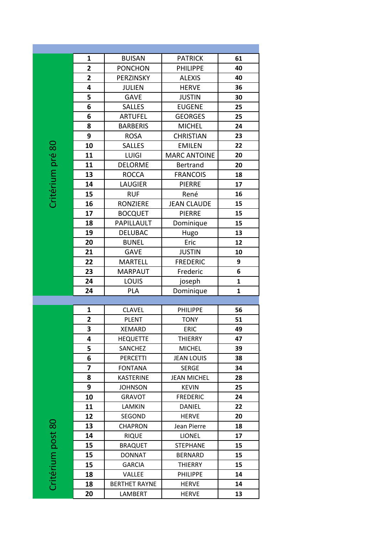|                   | 1                       | <b>BUISAN</b>                   | <b>PATRICK</b>               | 61           |
|-------------------|-------------------------|---------------------------------|------------------------------|--------------|
|                   | $\overline{\mathbf{2}}$ | <b>PONCHON</b>                  | <b>PHILIPPE</b>              | 40           |
|                   | $\overline{2}$          | PERZINSKY                       | <b>ALEXIS</b>                | 40           |
|                   | 4                       | <b>JULIEN</b>                   | <b>HERVE</b>                 | 36           |
|                   | 5                       | <b>GAVE</b>                     | <b>JUSTIN</b>                | 30           |
|                   | 6                       | <b>SALLES</b>                   | <b>EUGENE</b>                | 25           |
|                   | 6                       | <b>ARTUFEL</b>                  | <b>GEORGES</b>               | 25           |
|                   | 8                       | <b>BARBERIS</b>                 | <b>MICHEL</b>                | 24           |
|                   | 9                       | <b>ROSA</b>                     | <b>CHRISTIAN</b>             | 23           |
|                   | 10                      | <b>SALLES</b>                   | <b>EMILEN</b>                | 22           |
|                   | 11                      | <b>LUIGI</b>                    | <b>MARC ANTOINE</b>          | 20           |
|                   | 11                      | <b>DELORME</b>                  | Bertrand                     | 20           |
|                   | 13                      | <b>ROCCA</b>                    | <b>FRANCOIS</b>              | 18           |
|                   | 14                      | <b>LAUGIER</b>                  | <b>PIERRE</b>                | 17           |
| Critérium pré 80  | 15                      | <b>RUF</b>                      | René                         | 16           |
|                   | 16                      | <b>RONZIERE</b>                 | <b>JEAN CLAUDE</b>           | 15           |
|                   | 17                      | <b>BOCQUET</b>                  | <b>PIERRE</b>                | 15           |
|                   | 18                      | PAPILLAULT                      | Dominique                    | 15           |
|                   | 19                      | <b>DELUBAC</b>                  | Hugo                         | 13           |
|                   | 20                      | <b>BUNEL</b>                    | Eric                         | 12           |
|                   | 21                      | <b>GAVE</b>                     | <b>JUSTIN</b>                | 10           |
|                   | 22                      | <b>MARTELL</b>                  | <b>FREDERIC</b>              | 9            |
|                   | 23                      | <b>MARPAUT</b>                  | Frederic                     | 6            |
|                   |                         |                                 |                              |              |
|                   | 24                      | <b>LOUIS</b>                    | joseph                       | $\mathbf{1}$ |
|                   | 24                      | <b>PLA</b>                      | Dominique                    | $\mathbf{1}$ |
|                   |                         |                                 |                              |              |
|                   | 1                       | <b>CLAVEL</b>                   | <b>PHILIPPE</b>              | 56           |
|                   | $\overline{2}$          | <b>PLENT</b>                    | <b>TONY</b>                  | 51           |
|                   | 3                       | <b>XEMARD</b>                   | ERIC                         | 49           |
|                   | 4                       | <b>HEQUETTE</b>                 | THIERRY                      | 47           |
|                   | 5                       | <b>SANCHEZ</b>                  | <b>MICHEL</b>                | 39           |
|                   | 6                       | <b>PERCETTI</b>                 | <b>JEAN LOUIS</b>            | 38           |
|                   | 7                       | <b>FONTANA</b>                  | SERGE                        | 34           |
|                   | 8                       | <b>KASTERINE</b>                | <b>JEAN MICHEL</b>           | 28           |
|                   | 9                       | <b>JOHNSON</b>                  | <b>KEVIN</b>                 | 25           |
|                   | 10                      | <b>GRAVOT</b>                   | <b>FREDERIC</b>              | 24           |
|                   | 11                      | LAMKIN                          | <b>DANIEL</b>                | 22           |
|                   | 12                      | SEGOND                          | <b>HERVE</b>                 | 20           |
|                   | 13                      | <b>CHAPRON</b>                  | Jean Pierre                  | 18           |
|                   | 14                      | <b>RIQUE</b>                    | LIONEL                       | 17           |
|                   | 15                      | <b>BRAQUET</b>                  | <b>STEPHANE</b>              | 15           |
|                   | 15                      | <b>DONNAT</b>                   | <b>BERNARD</b>               | 15           |
|                   | 15                      | <b>GARCIA</b>                   | THIERRY                      | 15           |
|                   | 18                      | VALLEE                          | <b>PHILIPPE</b>              | 14           |
| Critérium post 80 | 18<br>20                | <b>BERTHET RAYNE</b><br>LAMBERT | <b>HERVE</b><br><b>HERVE</b> | 14<br>13     |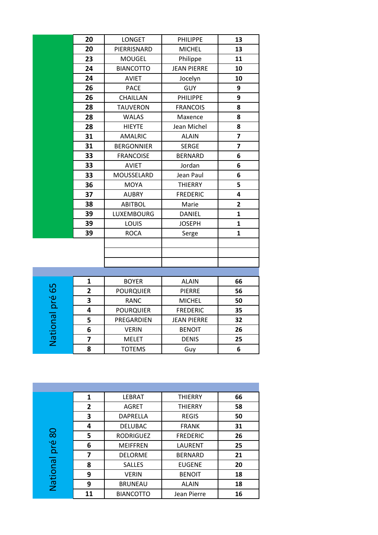|                 | 20                      | <b>LONGET</b>     | <b>PHILIPPE</b>    | 13                      |
|-----------------|-------------------------|-------------------|--------------------|-------------------------|
|                 | 20                      | PIERRISNARD       | <b>MICHEL</b>      | 13                      |
|                 | 23                      | <b>MOUGEL</b>     | Philippe           | 11                      |
|                 | 24                      | <b>BIANCOTTO</b>  | <b>JEAN PIERRE</b> | 10                      |
|                 | 24                      | <b>AVIET</b>      | Jocelyn            | 10                      |
|                 | 26                      | <b>PACE</b>       | GUY                | 9                       |
|                 | 26                      | CHAILLAN          | <b>PHILIPPE</b>    | 9                       |
|                 | 28                      | <b>TAUVERON</b>   | <b>FRANCOIS</b>    | 8                       |
|                 | 28                      | <b>WALAS</b>      | Maxence            | 8                       |
|                 | 28                      | <b>HIEYTE</b>     | Jean Michel        | 8                       |
|                 | 31                      | <b>AMALRIC</b>    | <b>ALAIN</b>       | $\overline{\mathbf{z}}$ |
|                 | 31                      | <b>BERGONNIER</b> | <b>SERGE</b>       | $\overline{\mathbf{z}}$ |
|                 | 33                      | <b>FRANCOISE</b>  | <b>BERNARD</b>     | 6                       |
|                 | 33                      | <b>AVIET</b>      | Jordan             | 6                       |
|                 | 33                      | MOUSSELARD        | Jean Paul          | 6                       |
|                 | 36                      | <b>MOYA</b>       | <b>THIERRY</b>     | 5                       |
|                 | 37                      | <b>AUBRY</b>      | <b>FREDERIC</b>    | 4                       |
|                 | 38                      | <b>ABITBOL</b>    | Marie              | 2                       |
|                 | 39                      | LUXEMBOURG        | <b>DANIEL</b>      | $\mathbf{1}$            |
|                 | 39                      | LOUIS             | <b>JOSEPH</b>      | $\mathbf{1}$            |
|                 | 39                      | <b>ROCA</b>       | Serge              | $\mathbf{1}$            |
|                 |                         |                   |                    |                         |
|                 |                         |                   |                    |                         |
|                 |                         |                   |                    |                         |
|                 |                         |                   |                    |                         |
|                 | $\mathbf{1}$            | <b>BOYER</b>      | <b>ALAIN</b>       | 66                      |
|                 | $\overline{2}$          | <b>POURQUIER</b>  | <b>PIERRE</b>      | 56                      |
|                 | 3                       | <b>RANC</b>       | <b>MICHEL</b>      | 50                      |
|                 | 4                       | <b>POURQUIER</b>  | <b>FREDERIC</b>    | 35                      |
|                 | 5                       | PREGARDIEN        | <b>JEAN PIERRE</b> | 32                      |
|                 | 6                       | <b>VERIN</b>      | <b>BENOIT</b>      | 26                      |
| National pré 65 | $\overline{\mathbf{z}}$ | <b>MELET</b>      | <b>DENIS</b>       | 25                      |
|                 | 8                       | <b>TOTEMS</b>     | Guy                | 6                       |
|                 |                         |                   |                    |                         |

|         | 1            | <b>LEBRAT</b>    | <b>THIERRY</b>  | 66 |
|---------|--------------|------------------|-----------------|----|
|         | $\mathbf{2}$ | <b>AGRET</b>     | <b>THIERRY</b>  | 58 |
|         | 3            | <b>DAPRELLA</b>  | <b>REGIS</b>    | 50 |
|         | 4            | <b>DELUBAC</b>   | <b>FRANK</b>    | 31 |
| 80      | 5            | <b>RODRIGUEZ</b> | <b>FREDERIC</b> | 26 |
| pré     | 6            | <b>MEIFFREN</b>  | LAURENT         | 25 |
|         | 7            | <b>DELORME</b>   | <b>BERNARD</b>  | 21 |
|         | 8            | <b>SALLES</b>    | <b>EUGENE</b>   | 20 |
|         | 9            | <b>VERIN</b>     | <b>BENOIT</b>   | 18 |
| Nationa | 9            | <b>BRUNEAU</b>   | <b>ALAIN</b>    | 18 |
|         | 11           | <b>BIANCOTTO</b> | Jean Pierre     | 16 |